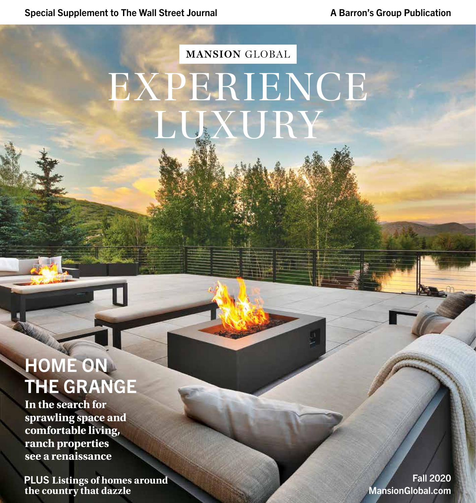# **MANSION GLOBAL** EXPERIENCE LUXURY

## HOME ON THE GRANGE

**In the search for sprawling space and comfortable living, ranch properties see a renaissance**

 PLUS **Listings of homes around the country that dazzle**

Fall 2020 MansionGlobal.com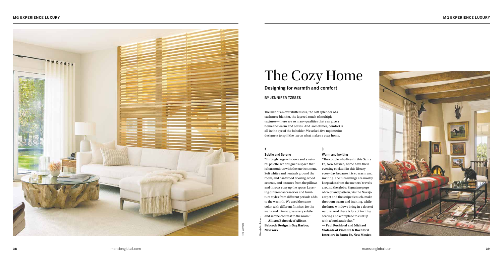## MG EXPERIENCE LUXURY MG EXPERIENCE LUXURY



Designing for warmth and comfort

## BY JENNIFER TZESES

# The Cozy Home

## Warm and Inviting

"The couple who lives in this Santa Fe, New Mexico, home have their evening cocktail in this library every day because it is so warm and inviting. The furnishings are mostly keepsakes from the owners' travels around the globe. Signature pops of color and pattern, via the Navajo carpet and the striped couch, make the room warm and inviting, while the large windows bring in a dose of nature. And there is lots of inviting seating and a fireplace to curl up with a book and relax."

**— Paul Rochford and Michael Violante of Violante & Rochford Interiors in Santa Fe, New Mexico**



## Subtle and Serene

 $\overline{\mathbf{C}}$ 

"Through large windows and a natural palette, we designed a space that is harmonious with the environment. Soft whites and neutrals ground the room, and hardwood flooring, wood accents, and textures from the pillows and throws cozy up the space. Layering different accessories and furniture styles from different periods adds to the warmth. We used the same color, with different finishes, for the walls and trim to give a very subtle and serene contrast to the room." **— Allison Babcock of Allison Babcock Design in Sag Harbor, New York** 

## mansionglobal.com **39** and the mansionglobal.com **39** and the mansionglobal com **39** and the mansionglobal com **39**

The lure of an overstuffed sofa, the soft splendor of a cashmere blanket, the layered touch of multiple textures—there are so many qualities that can give a home the warm and cozies. And sometimes, comfort is all in the eye of the beholder. We asked five top interior designers to spill the tea on what makes a cozy home.